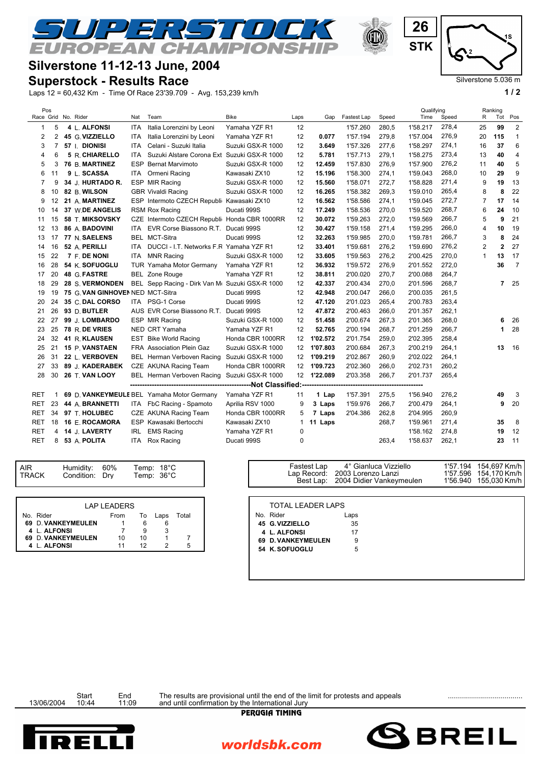## **Silverstone 11-12-13 June, 2004**

## **Superstock - Results Race**

 $\Gamma$ 

Laps 12 = 60,432 Km - Time Of Race 23'39.709 - Avg. 153,239 km/h **1 / 2**

ノコ

**JROPEAN CHAMPIONS** 

| Pos                       |    |                                  |            |                                                 |                   |                 |          |             |       | Qualifying |       | Ranking        |     |                |
|---------------------------|----|----------------------------------|------------|-------------------------------------------------|-------------------|-----------------|----------|-------------|-------|------------|-------|----------------|-----|----------------|
|                           |    | Race Grid No. Rider              | Nat        | Team                                            | <b>Bike</b>       | Laps            | Gap      | Fastest Lap | Speed | Time       | Speed | R              | Tot | Pos            |
| -1                        | 5  | 4 L. ALFONSI                     | <b>ITA</b> | Italia Lorenzini by Leoni                       | Yamaha YZF R1     | 12              |          | 1'57.260    | 280,5 | 1'58.217   | 278,4 | 25             | 99  | $\overline{2}$ |
| $\overline{2}$            | 2  | 45 G. VIZZIELLO                  | <b>ITA</b> | Italia Lorenzini by Leoni                       | Yamaha YZF R1     | 12              | 0.077    | 1'57.194    | 279,8 | 1'57.004   | 276,9 | 20             | 115 | 1              |
| 3                         | 7  | 57   DIONISI                     | <b>ITA</b> | Celani - Suzuki Italia                          | Suzuki GSX-R 1000 | 12              | 3.649    | 1'57.326    | 277,6 | 1'58.297   | 274,1 | 16             | 37  | 6              |
|                           | 6  | 5 R. CHIARELLO                   | <b>ITA</b> | Suzuki Alstare Corona Ext Suzuki GSX-R 1000     |                   | 12              | 5.781    | 1'57.713    | 279,1 | 1'58.275   | 273,4 | 13             | 40  | 4              |
| 5                         | 3  | 76 B. MARTINEZ                   | <b>ESP</b> | <b>Bernat Marvimoto</b>                         | Suzuki GSX-R 1000 | 12              | 12.459   | 1'57.830    | 276,9 | 1'57.900   | 276,2 | 11             | 40  | 5              |
| 6                         | 11 | 9 L. SCASSA                      | ITA        | Ormeni Racing                                   | Kawasaki ZX10     | 12              | 15.196   | 1'58.300    | 274,1 | 1'59.043   | 268,0 | 10             | 29  | 9              |
|                           | 9  | 34 J. HURTADO R.                 |            | ESP MIR Racing                                  | Suzuki GSX-R 1000 | 12              | 15.560   | 1'58.071    | 272,7 | 1'58.828   | 271,4 | 9              | 19  | 13             |
| 8                         | 10 | 82 B. WILSON                     |            | <b>GBR Vivaldi Racing</b>                       | Suzuki GSX-R 1000 | 12              | 16.265   | 1'58.382    | 269,3 | 1'59.010   | 265,4 | 8              | 8   | 22             |
| 9                         | 12 | 21 A. MARTINEZ                   |            | ESP Intermoto CZECH Republi Kawasaki ZX10       |                   | 12              | 16.562   | 1'58.586    | 274,1 | 1'59.045   | 272,7 | $\overline{7}$ | 17  | 14             |
| 10                        | 14 | 37 W.DE ANGELIS                  |            | <b>RSM Rox Racing</b>                           | Ducati 999S       | 12              | 17.249   | 1'58.536    | 270,0 | 1'59.520   | 268,7 | 6              | 24  | 10             |
| 11                        | 15 | 58 T. MIKSOVSKY                  |            | CZE Intermoto CZECH Republi Honda CBR 1000RR    |                   | 12              | 30.072   | 1'59.263    | 272,0 | 1'59.569   | 266,7 | 5              | 9   | 21             |
| 12                        | 13 | 86 A. BADOVINI                   |            | ITA EVR Corse Biassono R.T. Ducati 999S         |                   | 12              | 30.427   | 1'59.158    | 271,4 | 1'59.295   | 266,0 | 4              | 10  | 19             |
| 13                        | 17 | 77 N. SAELENS                    |            | BEL MCT-Sitra                                   | Ducati 999S       | 12              | 32.263   | 1'59.985    | 270,0 | 1'59.781   | 266,7 | 3              | 8   | 24             |
| 14                        | 16 | 52 A. PERILLI                    | <b>ITA</b> | DUCCI - I.T. Networks F.R Yamaha YZF R1         |                   | 12              | 33.401   | 1'59.681    | 276,2 | 1'59.690   | 276,2 | $\overline{2}$ | 2   | 27             |
| 15                        | 22 | 7 F. DE NONI                     | ITA        | <b>MNR Racing</b>                               | Suzuki GSX-R 1000 | 12              | 33.605   | 1'59.563    | 276,2 | 2'00.425   | 270,0 | $\mathbf{1}$   | 13  | 17             |
| 16                        | 28 | 54 K. SOFUOGLU                   |            | <b>TUR Yamaha Motor Germany</b>                 | Yamaha YZF R1     | 12              | 36.932   | 1'59.572    | 276,9 | 2'01.552   | 272,0 |                | 36  | $\overline{7}$ |
| 17                        | 20 | 48 G. FASTRE                     |            | <b>BEL Zone Rouge</b>                           | Yamaha YZF R1     | 12              | 38.811   | 2'00.020    | 270,7 | 2'00.088   | 264,7 |                |     |                |
| 18                        | 29 | 28 S. VERMONDEN                  |            | BEL Sepp Racing - Dirk Van Mr Suzuki GSX-R 1000 |                   | 12              | 42.337   | 2'00.434    | 270,0 | 2'01.596   | 268,7 |                | 7   | 25             |
| 19                        | 19 | 75 G. VAN GINHOVEN NED MCT-Sitra |            |                                                 | Ducati 999S       | 12              | 42.948   | 2'00.047    | 266,0 | 2'00.035   | 261,5 |                |     |                |
| 20                        | 24 | 35 C. DAL CORSO                  |            | ITA PSG-1 Corse                                 | Ducati 999S       | 12              | 47.120   | 2'01.023    | 265,4 | 2'00.783   | 263,4 |                |     |                |
| 21                        | 26 | 93 D. BUTLER                     |            | AUS EVR Corse Biassono R.T.                     | Ducati 999S       | 12              | 47.872   | 2'00.463    | 266,0 | 2'01.357   | 262,1 |                |     |                |
| 22                        | 27 | 99 J. LOMBARDO                   |            | ESP MIR Racing                                  | Suzuki GSX-R 1000 | 12              | 51.458   | 2'00.674    | 267,3 | 2'01.365   | 268,0 |                | 6   | 26             |
| 23                        | 25 | 78 R. DE VRIES                   |            | NED CRT Yamaha                                  | Yamaha YZF R1     | 12              | 52.765   | 2'00.194    | 268,7 | 2'01.259   | 266,7 |                | 1   | 28             |
| 24                        | 32 | 41 R. KLAUSEN                    |            | <b>EST Bike World Racing</b>                    | Honda CBR 1000RR  | 12              | 1'02.572 | 2'01.754    | 259,0 | 2'02.395   | 258,4 |                |     |                |
| 25                        | 21 | 15 P. VANSTAEN                   |            | <b>FRA</b> Association Plein Gaz                | Suzuki GSX-R 1000 | 12              | 1'07.803 | 2'00.684    | 267,3 | 2'00.219   | 264,1 |                | 13  | 16             |
| 26                        | 31 | 22 L. VERBOVEN                   |            | BEL Herman Verboven Racing                      | Suzuki GSX-R 1000 | 12 <sup>2</sup> | 1'09.219 | 2'02.867    | 260,9 | 2'02.022   | 264,1 |                |     |                |
| 27                        | 33 | 89 J. KADERABEK                  |            | CZE AKUNA Racing Team                           | Honda CBR 1000RR  | 12              | 1'09.723 | 2'02.360    | 266,0 | 2'02.731   | 260,2 |                |     |                |
| 28                        | 30 | 26 T. VAN LOOY                   |            | BEL Herman Verboven Racing                      | Suzuki GSX-R 1000 | 12              | 1'22.089 | 2'03.358    | 266,7 | 2'01.737   | 265,4 |                |     |                |
| ----------Not Classified: |    |                                  |            |                                                 |                   |                 |          |             |       |            |       |                |     |                |
| <b>RET</b>                |    |                                  |            | 69 D. VANKEYMEULE BEL Yamaha Motor Germany      | Yamaha YZF R1     | 11              | 1 Lap    | 1'57.391    | 275,5 | 1'56.940   | 276,2 |                | 49  | 3              |
| <b>RET</b>                | 23 | 44 A. BRANNETTI                  |            | ITA FbC Racing - Spamoto                        | Aprilia RSV 1000  | 9               | 3 Laps   | 1'59.976    | 266,7 | 2'00.479   | 264,1 |                | 9   | 20             |
| <b>RET</b>                | 34 | 97 T. HOLUBEC                    |            | CZE AKUNA Racing Team                           | Honda CBR 1000RR  | 5               | 7 Laps   | 2'04.386    | 262,8 | 2'04.995   | 260,9 |                |     |                |
| RET                       | 18 | 16 E. ROCAMORA                   |            | ESP Kawasaki Bertocchi                          | Kawasaki ZX10     | $\mathbf{1}$    | 11 Laps  |             | 268,7 | 1'59.961   | 271,4 |                | 35  | 8              |
| <b>RET</b>                | 4  | 14 J. LAVERTY                    | <b>IRL</b> | <b>EMS Racing</b>                               | Yamaha YZF R1     | $\mathbf 0$     |          |             |       | 1'58.162   | 274,8 |                | 19  | 12             |
| <b>RET</b>                | 8  | 53 A. POLITA                     |            | ITA Rox Racing                                  | Ducati 999S       | $\mathbf 0$     |          |             | 263,4 | 1'58.637   | 262,1 |                | 23  | 11             |
|                           |    |                                  |            |                                                 |                   |                 |          |             |       |            |       |                |     |                |

|--|

|                    | <b>LAP LEADERS</b> |    |         |       |
|--------------------|--------------------|----|---------|-------|
| No. Rider          | From               |    | To Laps | Total |
| 69 D. VANKEYMEULEN |                    |    | 6       |       |
| 4 L. ALFONSI       |                    |    |         |       |
| 69 D. VANKEYMEULEN | 10                 | 10 |         |       |
| 4 L. ALFONSI       | 11                 |    |         |       |

| <b>TOTAL LEADER LAPS</b><br><b>LAP LEADERS</b><br>No. Rider<br>Laps<br>Total<br>From<br>Laps<br>To<br><b>EYMEULEN</b><br>35<br>45 G. VIZZIELLO<br>6.<br>١SΙ<br>9<br>4 L. ALFONSI<br>17<br><b>EYMEULEN</b><br>10<br>10<br>69 D. VANKEYMEULEN<br>9 | ١SΙ<br>12<br>$\overline{2}$<br>5<br>11<br>54 K. SOFUOGLU<br>5 | Humidity:<br>Condition: | 60%<br>Drv | Temp: 18°C<br>Temp: 36°C |  | Fastest Lap<br>Lap Record:<br>Best Lap: | 4° Gianluca Vizziello<br>2003 Lorenzo Lanzi<br>2004 Didier Vankeymeulen | 1'57.194 154,697 Km/h<br>1'57.596 154,170 Km/h<br>1'56.940 155,030 Km/h |
|--------------------------------------------------------------------------------------------------------------------------------------------------------------------------------------------------------------------------------------------------|---------------------------------------------------------------|-------------------------|------------|--------------------------|--|-----------------------------------------|-------------------------------------------------------------------------|-------------------------------------------------------------------------|
|                                                                                                                                                                                                                                                  |                                                               |                         |            |                          |  |                                         |                                                                         |                                                                         |
|                                                                                                                                                                                                                                                  |                                                               |                         |            |                          |  |                                         |                                                                         |                                                                         |
|                                                                                                                                                                                                                                                  |                                                               |                         |            |                          |  |                                         |                                                                         |                                                                         |
|                                                                                                                                                                                                                                                  |                                                               |                         |            |                          |  |                                         |                                                                         |                                                                         |
|                                                                                                                                                                                                                                                  |                                                               |                         |            |                          |  |                                         |                                                                         |                                                                         |
|                                                                                                                                                                                                                                                  |                                                               |                         |            |                          |  |                                         |                                                                         |                                                                         |
|                                                                                                                                                                                                                                                  |                                                               |                         |            |                          |  |                                         |                                                                         |                                                                         |

Start End The results are provisional until the end of the limit for protests and appeals<br>13/06/2004 10:44 11:09 and until confirmation by the International Jury

worldsbk.com







Silverstone 5.036 m